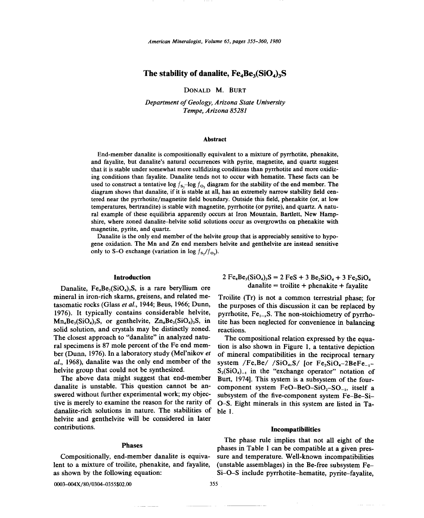*American Mineralogist, Volume* 65, *pages 355-360, 1980*

# The stability of danalite,  $Fe_4Be_3(SiO_4)_3S$

DONALD M. BURT

*Department of Geology, Arizona State University Tempe, Arizona 85281*

#### Abstract

End-member danalite is compositionally equivalent to a mixture of pyrrhotite, phenakite, and fayalite, but danalite's natural occurrences with pyrite, magnetite, and quartz suggest that it is stable under somewhat more sulfidizing conditions than pyrrhotite and more oxidizing conditions than fayalite. Danalite tends not to occur with hematite. These facts can be used to construct a tentative log  $f_{\rm s}$ -log  $f_{\rm o}$ , diagram for the stability of the end member. The diagram shows that danalite, if it is stable at all, has an extremely narrow stability field centered near the pyrrhotite/magnetite field boundary. Outside this field, phenakite (or, at low temperatures, bertrandite) is stable with magnetite, pyrrhotite (or pyrite), and quartz. A natural example of these equilibria apparently occurs at Iron Mountain, Bartlett, New Hampshire, where zoned danalite-helvite solid solutions occur as overgrowths on phenakite with magnetite, pyrite, and quartz.

Danalite is the only end member of the helvite group that is appreciably sensitive to hypogene oxidation. The Mn and Zn end members helvite and genthelvite are instead sensitive only to S-O exchange (variation in  $\log f_{\rm s}/f_{\rm O}$ ).

### Introduction

Danalite,  $Fe_4Be_3(SiO_4)_3S$ , is a rare beryllium ore mineral in iron-rich skarns, greisens, and related metasomatic rocks (Glass *et aI.,* 1944; Beus, 1966; Dunn, 1976). It typically contains considerable helvite,  $Mn<sub>4</sub>Be<sub>3</sub>(SiO<sub>4</sub>)<sub>3</sub>S$ , or genthelvite,  $Zn<sub>4</sub>Be<sub>3</sub>(SiO<sub>4</sub>)<sub>3</sub>S$ , in solid solution, and crystals may be distinctly zoned. The closest approach to "danalite" in analyzed natural specimens is 87 mole percent of the Fe end member (Dunn, 1976). In a laboratory study (Mel'nikov *et al.,* 1968), danalite was the only end member of the helvite group that could not be synthesized.

The above data might suggest that end-member danalite is unstable. This question cannot be answered without further experimental work; my objective is merely to examine the reason for the rarity of danalite-rich solutions in nature. The stabilities of helvite and genthelvite will be considered in later contributions.

#### Phases

Compositionally, end-member danalite is equivalent to a mixture of troilite, phenakite, and fayalite, as shown by the following equation:

0003-004X/80/0304-0355\$02.00

$$
2 Fe4Be3(SiO4)3S = 2 FeS + 3 Be2SiO4 + 3 Fe2SiO4
$$
  
danalite = troilite + phenakite + fayalite

Troilite (Tr) is not a common terrestrial phase; for the purposes of this discussion it can be replaced by pyrrhotite,  $Fe_{1-x}S$ . The non-stoichiometry of pyrrhotite has been neglected for convenience in balancing reactions.

The compositional relation expressed by the equation is also shown in Figure 1, a tentative depiction of mineral compatibilities in the reciprocal ternary system /Fe, Be/ /SiO<sub>4</sub>, S/ [or Fe<sub>2</sub>SiO<sub>4</sub>-2BeFe<sub>-1</sub>- $S_2(SiO_4)_{-1}$  in the "exchange operator" notation of Burt, 1974]. This system is a subsystem of the fourcomponent system  $FeO-BeO-SiO<sub>2</sub>-SO<sub>-1</sub>$ , itself a subsystem of the five-component system Fe-Be-Si-O-S. Eight minerals in this system are listed in Table 1.

# Incompatibilities

The phase rule implies that not all eight of the phases in Table I can be compatible at a given pressure and temperature. Well-known incompatibilities (unstable assemblages) in the Be-free subsystem Fe-Si-O-S include pyrrhotite-hematite, pyrite-fayalite,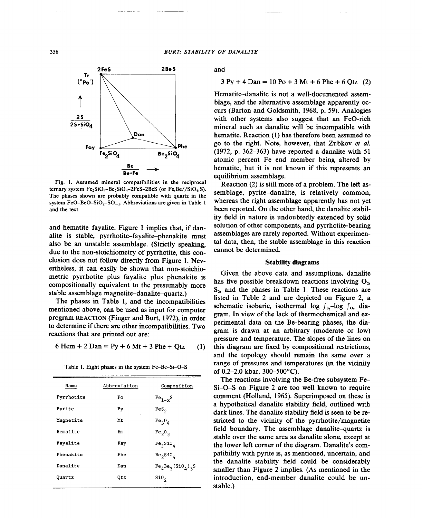

Fig. 1. Assumed mineral compatibilities in the reciprocal ternary system  $Fe<sub>2</sub>SiO<sub>4</sub>-Be<sub>2</sub>SiO<sub>4</sub>-2FeS-2BeS$  (or  $Fe, Be//SiO<sub>4</sub>, S$ ). The phases shown are probably compatible with quartz in the system FeO-BeO-SiO<sub>2</sub>-SO<sub>-1</sub>. Abbreviations are given in Table 1 and the text.

and hematite-fayalite. Figure I implies that, if danalite is stable, pyrrhotite-fayalite-phenakite must also be an unstable assemblage. (Strictly speaking, due to the non-stoichiometry of pyrrhotite, this conclusion does not follow directly from Figure l. Nevertheless, it can easily be shown that non-stoichiometric pyrrhotite plus fayalite plus phenakite is compositionally equivalent to the presumably more stable assemblage magnetite-danalite-quartz.)

The phases in Table I, and the incompatibilities mentioned above, can be used as input for computer program REACTION(Finger and Burt, 1972), in order to determine if there are other incompatibilities. Two reactions that are printed out are:

6 Hem + 2 Dan = Py + 6 Mt + 3 Phe + Qtz (1)

| Name       | Abbreviation | Composition                      |
|------------|--------------|----------------------------------|
| Pyrrhotite | Po           | $Fe1-xS$                         |
| Pyrite     | Py           | $Fes_{2}$                        |
| Magnetite  | Mt           | $Fe_{3}O_{4}$                    |
| Hematite   | Hm           | Fe <sub>2</sub> O <sub>3</sub>   |
| Fayalite   | Fay          | $Fe_2SiO_4$                      |
| Phenakite  | Phe          | Be <sub>2</sub> S10 <sub>4</sub> |
| Danalite   | Dan          | $Fe4Be3(SiO4)3S$                 |
| Quartz     | Otz          | sio,                             |

Table 1. Eight phases in the system Fe-Be-Si-O-S

and

### $3 \text{ Py } + 4 \text{ Dan} = 10 \text{ Po } + 3 \text{ Mt} + 6 \text{ Phe } + 6 \text{ Otz}$  (2)

Hematite-danalite is not a well-documented assemblage, and the alternative assemblage apparently occurs (Barton and Goldsmith, 1968, p. 59). Analogies with other systems also suggest that an FeO-rich mineral such as danalite will be incompatible with hematite. Reaction (I) has therefore been assumed to go to the right. Note, however, that Zubkov *et al.* (1972, p. 362-363) have reported a danalite with 51 atomic percent Fe end member being altered by hematite, but it is not known if this represents an equilibrium assemblage.

Reaction (2) is still more of a problem. The left assemblage, pyrite-danalite, is relatively common, whereas the right assemblage apparently has not yet been reported. On the other hand, the danalite stability field in nature is undoubtedly extended by solid solution of other components, and pyrrhotite-bearing assemblages are rarely reported. Without experimental data, then, the stable assemblage in this reaction cannot be determined.

# Stability diagrams

Given the above data and assumptions, danalite has five possible breakdown reactions involving  $O<sub>2</sub>$ ,  $S<sub>2</sub>$ , and the phases in Table 1. These reactions are listed in Table 2 and are depicted on Figure 2, a schematic isobaric, isothermal log  $f_s$ -log  $f_o$ , diagram. In view of the lack of thermochemical and experimental data on the Be-bearing phases, the diagram is drawn at an arbitrary (moderate or low) pressure and temperature. The slopes of the lines on this diagram are fixed by compositional restrictions, and the topology should remain the same over a range of pressures and temperatures (in the vicinity of 0.2-2.0 kbar, 300-500°C).

The reactions involving the Be-free subsystem Fe-Si-O-S on Figure 2 are too well known to require comment (Holland, 1965). Superimposed on these is a hypothetical danalite stability field, outlined with dark lines. The danalite stability field is seen to be restricted to the vicinity of the pyrrhotite/magnetite field boundary. The assemblage danalite-quartz is stable over the same area as danalite alone, except at the lower left corner of the diagram. Danalite's compatibility with pyrite is, as mentioned, uncertain, and the danalite stability field could be considerably smaller than Figure 2 implies. (As mentioned in the introduction, end-member danalite could be unstable.)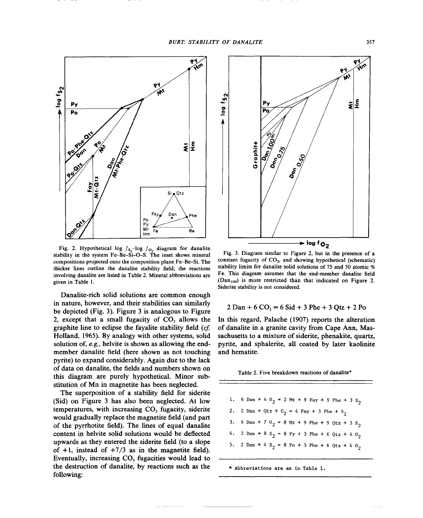

Fig. 2. Hypothetical log  $f_{S_2}$ -log  $f_{O_2}$  diagram for danalite stability in the system Fe-Be-Si-O-S. The inset shows mineral compositions projected onto the composition plane Fe-Be-Si. The thicker lines outline the danalite stability field; the reactions involving danalite are listed in Table 2. Mineral abbreviations are given in Table I.

Danalite-rich solid solutions are common enough in nature, however, and their stabilities can similarly be depicted (Fig. 3). Figure 3 is analogous to Figure 2, except that a small fugacity of  $CO<sub>2</sub>$  allows the graphite line to eclipse the fayalite stability field *(cf.* Holland, 1965). By analogy with other systems, solid solution of, *e.g.,* helvite is shown as allowing the endmember danalite field (here shown as not touching pyrite) to expand considerably. Again due to the lack of data on danalite, the fields and numbers shown on this diagram are purely hypothetical. Minor substitution of Mn in magnetite has been neglected.

The superposition of a stability field for siderite (Sid) on Figure 3 has also been neglected. At low temperatures, with increasing  $CO<sub>2</sub>$  fugacity, siderite would gradually replace the magnetite field (and part of the pyrrhotite field). The lines of equal danalite content in helvite solid solutions would be deflected upwards as they entered the siderite field (to a slope of  $+1$ , instead of  $+7/3$  as in the magnetite field). Eventually, increasing  $CO<sub>2</sub>$  fugacities would lead to the destruction of danalite, by reactions such as the following:



Fig. 3. Diagram similar to Figure 2, but in the presence of a constant fugacity of CO<sub>2</sub>, and showing hypothetical (schematic) stability limits for danalite solid solutions of 75 and 50 atomic. % Fe. This diagram assumes that the end-member danalite field  $(Dan<sub>100</sub>)$  is more restricted than that indicated on Figure 2. Siderite stability is not considered.

$$
2 \text{ Dan} + 6 \text{ CO}_2 = 6 \text{ Sid} + 3 \text{ Phe} + 3 \text{ Qtz} + 2 \text{ Po}
$$

In this regard, Palache (1907) reports the alteration of danalite in a granite cavity from Cape Ann, Massachusetts to a mixture of siderite, phenakite, quartz, pyrite, and sphalerite, all coated by later kaolinite and hematite.

Table 2. Five breakdown reactions of danalite\*

|                                                                       |  |  |  |  | 1. 6 Dan + 4 O <sub>2</sub> = 2 Mt + 9 Fay + 9 Phe + 3 S <sub>2</sub> |
|-----------------------------------------------------------------------|--|--|--|--|-----------------------------------------------------------------------|
| 2. 2 Dan + Qtz + 0 <sub>2</sub> = 4 Fay + 3 Phe + S <sub>2</sub>      |  |  |  |  |                                                                       |
| 3. 6 Dan + 7 0 <sub>2</sub> = 8 Mt + 9 Phe + 9 Qtz + 3 S <sub>2</sub> |  |  |  |  |                                                                       |
| 4. 2 Dan + 8 S <sub>2</sub> = 8 Py + 3 Phe + 6 Qtz + 4 O <sub>2</sub> |  |  |  |  |                                                                       |
| 5. 2 Dan + 4 S <sub>2</sub> = 8 Po + 3 Phe + 6 Qtz + 4 O <sub>2</sub> |  |  |  |  |                                                                       |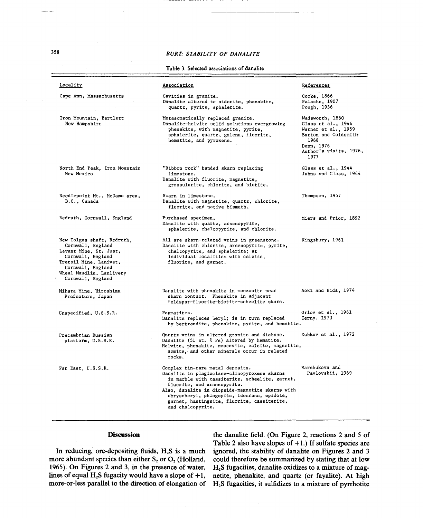### *BURT: STABILITY OF DANA LITE*

Table 3. Selected associations of danalite

| Locality                                                                                                                                                                                       | Association                                                                                                                                                                                                                                                                                                                              | References                                                                                                                                   |
|------------------------------------------------------------------------------------------------------------------------------------------------------------------------------------------------|------------------------------------------------------------------------------------------------------------------------------------------------------------------------------------------------------------------------------------------------------------------------------------------------------------------------------------------|----------------------------------------------------------------------------------------------------------------------------------------------|
| Cape Ann, Massachusetts                                                                                                                                                                        | Cavities in granite.<br>Danalite altered to siderite, phenakite,<br>quartz, pyrite, sphalerite.                                                                                                                                                                                                                                          | Cooke, 1866<br>Palache, 1907<br>Pough, 1936                                                                                                  |
| Iron Mountain, Bartlett<br>New Hampshire                                                                                                                                                       | Metasomatically replaced granite.<br>Danalite-helvite solid solutions overgrowing<br>phenakite, with magnetite, pyrite,<br>sphalerite, quartz, galena, fluorite,<br>hematite, and pyroxene.                                                                                                                                              | Wadsworth, 1880<br>Glass et al., 1944<br>Warner et al., 1959<br>Barton and Goldsmith<br>1968<br>Dunn, 1976<br>Author's visits, 1976,<br>1977 |
| North End Peak, Iron Mountain<br>New Mexico                                                                                                                                                    | "Ribbon rock" banded skarn replacing<br>limestone.<br>Danalite with fluorite, magnetite,<br>grossularite, chlorite, and biotite.                                                                                                                                                                                                         | Glass et al., 1944<br>Jahns and Glass, 1944                                                                                                  |
| Needlepoint Mt., McDame area,<br>B.C., Canada                                                                                                                                                  | Skarn in limestone.<br>Danalite with magnetite, quartz, chlorite,<br>fluorite, and native bismuth.                                                                                                                                                                                                                                       | Thompson, 1957                                                                                                                               |
| Redruth, Cornwall, England                                                                                                                                                                     | Purchased specimen.<br>Danalite with quartz, arsenopyrite,<br>sphalerite, chalcopyrite, and chlorite.                                                                                                                                                                                                                                    | Miers and Prior, 1892                                                                                                                        |
| New Tolgus shaft, Redruth,<br>Cornwall, England<br>Levant Mine, St. Just,<br>Cornwall, England<br>Tretoil Mine, Lanivet,<br>Cornwall, England<br>Wheal Maudlin, Lanlivery<br>Cornwall, England | All are skarn-related veins in greenstone.<br>Danalite with chlorite, arsenopyrite, pyrite,<br>chalcopyrite, and sphalerite; at<br>individual localities with calcite,<br>fluorite, and garnet.                                                                                                                                          | Kingsbury, 1961                                                                                                                              |
| Mihara Mine, Hiroshima<br>Prefecture, Japan                                                                                                                                                    | Danalite with phenakite in monzonite near<br>skarn contact. Phenakite in adjacent<br>feldspar-fluorite-biotite-scheelite skarn.                                                                                                                                                                                                          | Aoki and Hida, 1974                                                                                                                          |
| Unspecified, U.S.S.R.                                                                                                                                                                          | Pegmatites.<br>Danalite replaces beryl; is in turn replaced<br>by bertrandite, phenakite, pyrite, and hematite.                                                                                                                                                                                                                          | Orlov et al., 1961<br>Cerny, 1970                                                                                                            |
| Precambrian Russian<br>platform, U.S.S.R.                                                                                                                                                      | Quartz veins in altered granite and diabase.<br>Danalite (51 at. % Fe) altered by hematite.<br>Helvite, phenakite, muscovite, calcite, magnetite,<br>acmite, and other minerals occur in related<br>rocks.                                                                                                                               | Zubkov et al., $1972$                                                                                                                        |
| Far East, U.S.S.R.                                                                                                                                                                             | Complex tin-rare metal deposits.<br>Danalite in plagioclase-clinopyroxene skarns<br>in marble with cassiterite, scheelite, garnet,<br>fluorite, and arsenopyrite.<br>Also, danalite in diopside-magnetite skarns with<br>chrysoberyl, phlogopite, idocrase, epidote,<br>garnet, hastingsite, fluorite, cassiterite,<br>and chalcopyrite. | Marshukova and<br>Pavlovskii, 1969                                                                                                           |

# Discussion

In reducing, ore-depositing fluids,  $H_2S$  is a much more abundant species than either  $S_2$  or  $O_2$  (Holland, 1965). On Figures 2 and 3, in the presence of water, lines of equal  $H_2S$  fugacity would have a slope of  $+1$ , more-or-Iess parallel to the direction of elongation of

the danalite field. (On Figure 2, reactions 2 and 5 of Table 2 also have slopes of  $+1$ .) If sulfate species are ignored, the stability of danalite on Figures 2 and 3 could therefore be summarized by stating that at low H2S fugacities, danalite oxidizes to a mixture of magnetite, phenakite, and quartz (or fayalite). At high H2S fugacities, it sulfidizes to a mixture of pyrrhotite

358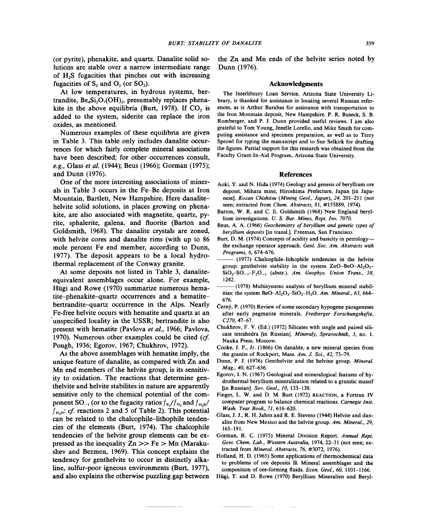(or pyrite), phenakite, and quartz. Danalite solid solutions are stable over a narrow intermediate range of  $H<sub>2</sub>S$  fugacities that pinches out with increasing fugacities of  $S_2$  and  $O_2$  (or  $SO_2$ ).

At low temperatures, in hydrous systems, bertrandite,  $Be_4Si_2O_7(OH)_{2}$ , presumably replaces phenakite in the above equilibria (Burt, 1978). If  $CO<sub>2</sub>$  is added to the system, siderite can replace the iron oxides, as mentioned.

Numerous examples of these equilibria are given in Table 3. This table only includes danalite occurrences for which fairly complete mineral associations have been described; for other occurrences consult, *e.g.,* Glass *et al.* (1944); Beus (1966); Gorman (1975); and Dunn (1976).

One of the more interesting associations of minerals in Table 3 occurs in the Fe-Be deposits at Iron Mountain, Bartlett, New Hampshire. Here danalitehelvite solid solutions, in places growing on phenakite, are also associated with magnetite, quartz, pyrite, sphalerite, galena, and fluorite (Barton and Goldsmith, 1968). The danalite crystals are zoned, with helvite cores and danalite rims (with up to 86 mole percent Fe end member, according to Dunn, 1977). The deposit appears to be a local hydrothermal replacement of the Conway granite.

At some deposits not listed in Table 3, danaliteequivalent assemblages occur alone. For example, Hügi and Rowe (1970) summarize numerous hematite-phenakite-quartz occurrences and a hematitebertrandite-quartz occurrence in the Alps. Nearly Fe-free helvite occurs with hematite and quartz at an 'unspecified locality in the USSR; bertrandite is also present with hematite (Pavlova *et al.,* 1966; Pavlova, 1970). Numerous other examples could be cited *(cf* Pough, 1936; Egorov, 1967; Chukhrov, 1972).

As the above assemblages with hematite imply, the unique feature of danalite, as compared with Zn and Mn end members of the helvite group, is its sensitivity to oxidation. The reactions that determine genthelvite and helvite stabilites in nature are apparently sensitive only to the chemical potential of the component  $SO_{-1}$  (or to the fugacity ratios  $f_s/f_o$ , and  $f_{H,s}/f_o$  $f_{H<sub>2</sub>}$ : *cf.* reactions 2 and 5 of Table 2). This potential can be related to the chalcophile-lithophile tendencies of the elements (Burt, 1974). The chalcophile tendencies of the helvite group elements can be expressed as the inequality  $Zn \gg Fe > Mn$  (Marakushev and Bezmen, 1969). This concept explains the tendency for genthelvite to occur in distinctly alkaline, sulfur-poor igneous environments (Burt, 1977), and also explains the otherwise puzzling gap between the Zn and Mn ends of the helvite series noted by Dunn (1976).

#### Acknowledgments

The Interlibrary Loan Service, Arizona State University Library, is thanked for assistance in locating several Russian references, as is Arthur Barabas for assistance with transportation to the Iron Mountain deposit, New Hampshire. P. R. Buseck, S. B. Romberger, and P. J. Dunn provided useful reviews. I am also grateful to Tom Young, Jenelle Lorello, and Mike Smith for computing assistance and specimen preparation, as well as to Terry Sprowl for typing the manuscript and to Sue Selkirk for drafting the figures. Partial support for this research was obtained from the Faculty Grant-In-Aid Program, Arizona State University.

### References

- Aoki, Y. and N. Hida (1974) Geology and genesis of beryllium ore deposit, Mihara mine, Hiroshima Prefecture, Japan [in Japanese]. *Kozan Chishitsu (Mining Geol., Japan),* 24, 201-211 (not seen; extracted from *Chem. Abstracts,* 81, #155889, 1974).
- Barton, W. R. and C. E. Goldsmith (1968) New England beryllium investigations. *U.* S. *Bur. Mines, Rept. Inv. 7070.*
- Beus, A. A. (1966) *Geochemistry of beryllium and genetic types of beryllium deposits* [in trans!.]. Freeman, San Francisco.
- Burt, D. M. (1974) Concepts of acidity and basicity in petrology-the exchange operator approach. *Geol. Soc. Am. Abstracts with Programs,* 6, 674-676.
- (1977) Chalcophile-lithophile tendencies in the helvite group: genthelvite stability in the system  $ZnO-BeO-Al<sub>2</sub>O<sub>3</sub>$ - $SiO<sub>2</sub>-SO<sub>-1</sub>-F<sub>2</sub>O<sub>-1</sub>$  (abstr.). *Am. Geophys. Union Trans.*, 58, 1242.
- (1978) Multisystems analysis of beryllium mineral stabilities: the system  $BeO-Al_2O_3-SiO_2-H_2O$ . *Am. Mineral.*, 63, 664-676.
- Cerny, P. (1970) Review of some secondary hypogene parageneses after early pegmatite minerals. *Freiberger Forschungshefte, C270,47-67.*
- Chukhrov, F. V. (Ed.) (1972) Silicates with single and paired silicate tetrahedra [in Russian]. *Mineraly, Spravochnik,* 3, no. 1. Nauka Press, Moscow.
- Cooke, J. P., Jr. (1866) On danalite, a new mineral species from the granite of Rockport, Mass. *Am. J. Sci.,* 42, 73-79.
- Dunn, P. J. (1976) Genthelvite and the helvine group. *Mineral. Mag., 40, 627-636.*
- Egorov, I. N. (1967) Geological and mineralogical features of hydrothermal beryllium mineralization related to a granitic massif [in Russian]. *Sov. Geol., 10, 133-138.*
- Finger, L. W. and D. M. Burt (1972) REACTION, a Fortran IV computer program to balance chemical reactions. *Carnegie Inst. Wash. Year Book,* 71, 616-620.
- Glass, J. J., R. H. Jahns and R. E. Stevens (1944) Helvite and danalite from New Mexico and the helvite group. *Am. Mineral., 29,* 163-191.
- Gorman, R. C. (1975) Mineral Division Report. *Annual Rept. Govt. Chem. Lab., Western Australia,* 1974,22-31 (not seen; extracted from *Mineral. Abstracts,* 76, #3072, 1976).
- Holland, H. D. (1965) Some applications of thermochemical data to problems of ore deposits II. Mineral assemblages and the composition of ore-forming fluids. *Econ. Geol., 60, 1101-1166.*
- Hügi, T. and D. Rowe (1970) Beryllium Mineralien und Beryl-